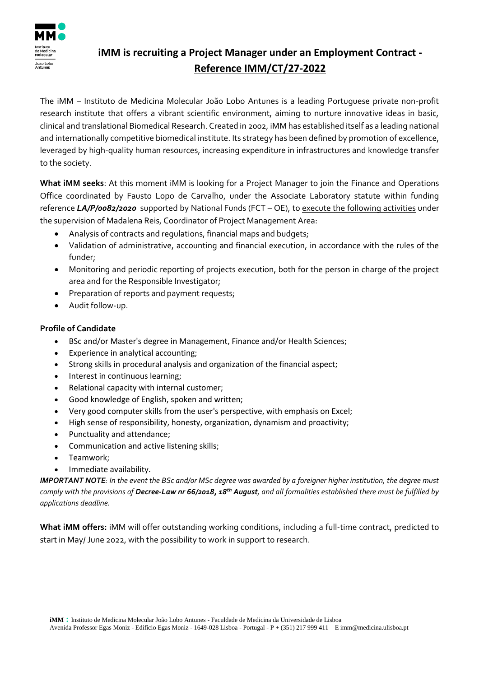

## **iMM is recruiting a Project Manager under an Employment Contract - Reference IMM/CT/27-2022**

The iMM – Instituto de Medicina Molecular João Lobo Antunes is a leading Portuguese private non-profit research institute that offers a vibrant scientific environment, aiming to nurture innovative ideas in basic, clinical and translational Biomedical Research. Created in 2002, iMM has established itself as a leading national and internationally competitive biomedical institute. Its strategy has been defined by promotion of excellence, leveraged by high-quality human resources, increasing expenditure in infrastructures and knowledge transfer to the society.

**What iMM seeks**: At this moment iMM is looking for a Project Manager to join the Finance and Operations Office coordinated by Fausto Lopo de Carvalho, under the Associate Laboratory statute within funding reference *LA/P/0082/2020* supported by National Funds (FCT – OE), to execute the following activities under the supervision of Madalena Reis, Coordinator of Project Management Area:

- Analysis of contracts and regulations, financial maps and budgets;
- Validation of administrative, accounting and financial execution, in accordance with the rules of the funder;
- Monitoring and periodic reporting of projects execution, both for the person in charge of the project area and for the Responsible Investigator;
- Preparation of reports and payment requests;
- Audit follow-up.

## **Profile of Candidate**

- BSc and/or Master's degree in Management, Finance and/or Health Sciences;
- Experience in analytical accounting;
- Strong skills in procedural analysis and organization of the financial aspect;
- Interest in continuous learning;
- Relational capacity with internal customer;
- Good knowledge of English, spoken and written;
- Very good computer skills from the user's perspective, with emphasis on Excel;
- High sense of responsibility, honesty, organization, dynamism and proactivity;
- Punctuality and attendance;
- Communication and active listening skills;
- Teamwork;
- Immediate availability.

*IMPORTANT NOTE: In the event the BSc and/or MSc degree was awarded by a foreigner higher institution, the degree must comply with the provisions of Decree-Law nr 66/2018, 18th August, and all formalities established there must be fulfilled by applications deadline.*

**What iMM offers:** iMM will offer outstanding working conditions, including a full-time contract, predicted to start in May/ June 2022, with the possibility to work in support to research.